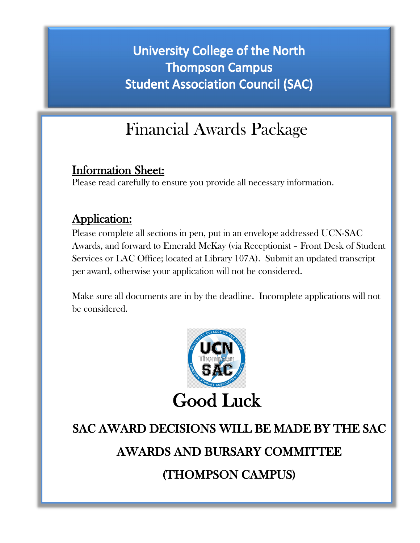## **University College of the North Thompson Campus Student Association Council (SAC)**

## Financial Awards Package

Information Sheet: Please read carefully to ensure you provide all necessary information.

#### Application:

Please complete all sections in pen, put in an envelope addressed UCN-SAC Awards, and forward to Emerald McKay (via Receptionist – Front Desk of Student Services or LAC Office; located at Library 107A). Submit an updated transcript per award, otherwise your application will not be considered.

Make sure all documents are in by the deadline. Incomplete applications will not be considered.



# SAC AWARD DECISIONS WILL BE MADE BY THE SAC

AWARDS AND BURSARY COMMITTEE

(THOMPSON CAMPUS)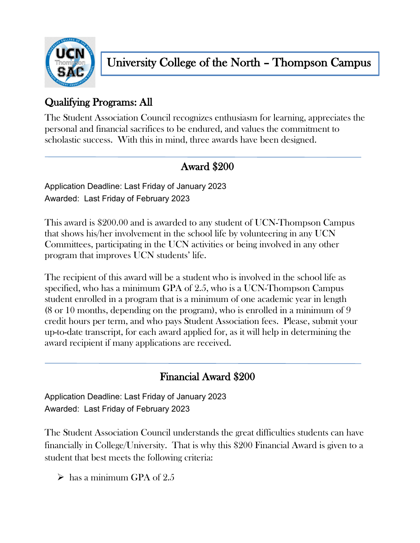

#### Qualifying Programs: All

The Student Association Council recognizes enthusiasm for learning, appreciates the personal and financial sacrifices to be endured, and values the commitment to scholastic success. With this in mind, three awards have been designed.

### Award \$200

Application Deadline: Last Friday of January 2023 Awarded: Last Friday of February 2023

This award is \$200.00 and is awarded to any student of UCN-Thompson Campus that shows his/her involvement in the school life by volunteering in any UCN Committees, participating in the UCN activities or being involved in any other program that improves UCN students' life.

The recipient of this award will be a student who is involved in the school life as specified, who has a minimum GPA of 2.5, who is a UCN-Thompson Campus student enrolled in a program that is a minimum of one academic year in length (8 or 10 months, depending on the program), who is enrolled in a minimum of 9 credit hours per term, and who pays Student Association fees. Please, submit your up-to-date transcript, for each award applied for, as it will help in determining the award recipient if many applications are received.

#### Financial Award \$200

Application Deadline: Last Friday of January 2023 Awarded: Last Friday of February 2023

The Student Association Council understands the great difficulties students can have financially in College/University. That is why this \$200 Financial Award is given to a student that best meets the following criteria:

 $\geq$  has a minimum GPA of 2.5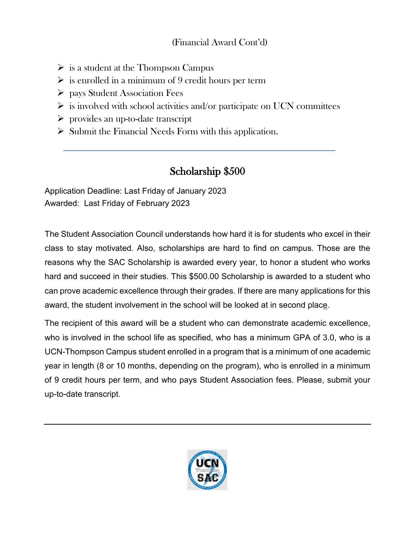#### (Financial Award Cont'd)

- $\triangleright$  is a student at the Thompson Campus
- $\triangleright$  is enrolled in a minimum of 9 credit hours per term
- $\triangleright$  pays Student Association Fees
- $\triangleright$  is involved with school activities and/or participate on UCN committees
- $\triangleright$  provides an up-to-date transcript
- $\triangleright$  Submit the Financial Needs Form with this application.

#### Scholarship \$500

Application Deadline: Last Friday of January 2023 Awarded: Last Friday of February 2023

The Student Association Council understands how hard it is for students who excel in their class to stay motivated. Also, scholarships are hard to find on campus. Those are the reasons why the SAC Scholarship is awarded every year, to honor a student who works hard and succeed in their studies. This \$500.00 Scholarship is awarded to a student who can prove academic excellence through their grades. If there are many applications for this award, the student involvement in the school will be looked at in second place.

The recipient of this award will be a student who can demonstrate academic excellence, who is involved in the school life as specified, who has a minimum GPA of 3.0, who is a UCN-Thompson Campus student enrolled in a program that is a minimum of one academic year in length (8 or 10 months, depending on the program), who is enrolled in a minimum of 9 credit hours per term, and who pays Student Association fees. Please, submit your up-to-date transcript.

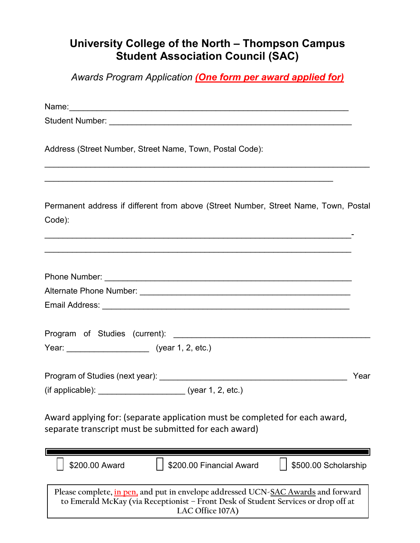#### **University College of the North – Thompson Campus Student Association Council (SAC)**

*Awards Program Application (One form per award applied for)*

| Address (Street Number, Street Name, Town, Postal Code):                                                                                                                                    |      |
|---------------------------------------------------------------------------------------------------------------------------------------------------------------------------------------------|------|
|                                                                                                                                                                                             |      |
| Permanent address if different from above (Street Number, Street Name, Town, Postal<br>Code):                                                                                               |      |
|                                                                                                                                                                                             |      |
|                                                                                                                                                                                             |      |
|                                                                                                                                                                                             |      |
|                                                                                                                                                                                             |      |
|                                                                                                                                                                                             |      |
|                                                                                                                                                                                             |      |
|                                                                                                                                                                                             |      |
|                                                                                                                                                                                             | Year |
| (if applicable): __________________________ (year 1, 2, etc.)                                                                                                                               |      |
| Award applying for: (separate application must be completed for each award,<br>separate transcript must be submitted for each award)                                                        |      |
| \$200.00 Award<br>\$200.00 Financial Award<br>\$500.00 Scholarship                                                                                                                          |      |
| Please complete, in pen, and put in envelope addressed UCN-SAC Awards and forward<br>to Emerald McKay (via Receptionist - Front Desk of Student Services or drop off at<br>LAC Office 107A) |      |